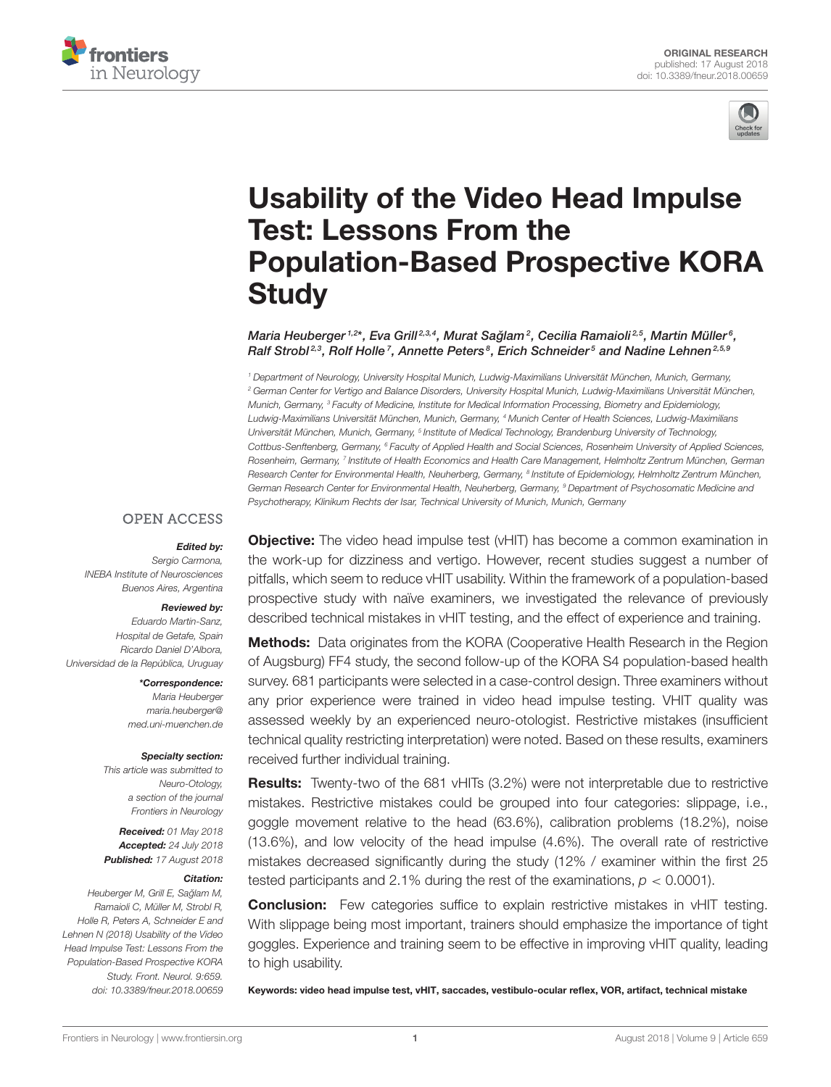



# Usability of the Video Head Impulse Test: Lessons From the [Population-Based Prospective KORA](https://www.frontiersin.org/articles/10.3389/fneur.2018.00659/full) **Study**

[Maria Heuberger](http://loop.frontiersin.org/people/474870/overview) 1,2\*, Eva Grill<sup>2,3,4</sup>, Murat Sağlam<sup>2</sup>, [Cecilia Ramaioli](http://loop.frontiersin.org/people/549942/overview)<sup>2,5</sup>, Martin Müller<sup>6</sup>, [Ralf Strobl](http://loop.frontiersin.org/people/502958/overview)<sup>2,3</sup>, Rolf Holle<sup>7</sup>, Annette Peters<sup>8</sup>, [Erich Schneider](http://loop.frontiersin.org/people/301248/overview)<sup>5</sup> and [Nadine Lehnen](http://loop.frontiersin.org/people/488721/overview)<sup>2,5,9</sup>

<sup>1</sup> Department of Neurology, University Hospital Munich, Ludwig-Maximilians Universität München, Munich, Germany, <sup>2</sup> German Center for Vertigo and Balance Disorders, University Hospital Munich, Ludwig-Maximilians Universität München, Munich, Germany, <sup>3</sup> Faculty of Medicine, Institute for Medical Information Processing, Biometry and Epidemiology, Ludwig-Maximilians Universität München, Munich, Germany, <sup>4</sup> Munich Center of Health Sciences, Ludwig-Maximilians Universität München, Munich, Germany, <sup>s</sup> Institute of Medical Technology, Brandenburg University of Technology, Cottbus-Senftenberg, Germany, <sup>6</sup> Faculty of Applied Health and Social Sciences, Rosenheim University of Applied Sciences, Rosenheim, Germany, <sup>7</sup> Institute of Health Economics and Health Care Management, Helmholtz Zentrum München, German Research Center for Environmental Health, Neuherberg, Germany, <sup>8</sup> Institute of Epidemiology, Helmholtz Zentrum München, German Research Center for Environmental Health, Neuherberg, Germany, <sup>9</sup> Department of Psychosomatic Medicine and Psychotherapy, Klinikum Rechts der Isar, Technical University of Munich, Munich, Germany

#### **OPEN ACCESS**

#### Edited by:

Sergio Carmona, INEBA Institute of Neurosciences Buenos Aires, Argentina

#### Reviewed by:

Eduardo Martin-Sanz, Hospital de Getafe, Spain Ricardo Daniel D'Albora, Universidad de la República, Uruguay

> \*Correspondence: Maria Heuberger [maria.heuberger@](mailto:maria.heuberger@med.uni-muenchen.de) [med.uni-muenchen.de](mailto:maria.heuberger@med.uni-muenchen.de)

#### Specialty section:

This article was submitted to Neuro-Otology, a section of the journal Frontiers in Neurology

Received: 01 May 2018 Accepted: 24 July 2018 Published: 17 August 2018

#### Citation:

Heuberger M, Grill E, Sağlam M, Ramaioli C, Müller M, Strobl R, Holle R, Peters A, Schneider E and Lehnen N (2018) Usability of the Video Head Impulse Test: Lessons From the Population-Based Prospective KORA Study. Front. Neurol. 9:659. doi: [10.3389/fneur.2018.00659](https://doi.org/10.3389/fneur.2018.00659)

**Objective:** The video head impulse test (vHIT) has become a common examination in the work-up for dizziness and vertigo. However, recent studies suggest a number of pitfalls, which seem to reduce vHIT usability. Within the framework of a population-based prospective study with naïve examiners, we investigated the relevance of previously described technical mistakes in vHIT testing, and the effect of experience and training.

Methods: Data originates from the KORA (Cooperative Health Research in the Region of Augsburg) FF4 study, the second follow-up of the KORA S4 population-based health survey. 681 participants were selected in a case-control design. Three examiners without any prior experience were trained in video head impulse testing. VHIT quality was assessed weekly by an experienced neuro-otologist. Restrictive mistakes (insufficient technical quality restricting interpretation) were noted. Based on these results, examiners received further individual training.

Results: Twenty-two of the 681 vHITs (3.2%) were not interpretable due to restrictive mistakes. Restrictive mistakes could be grouped into four categories: slippage, i.e., goggle movement relative to the head (63.6%), calibration problems (18.2%), noise (13.6%), and low velocity of the head impulse (4.6%). The overall rate of restrictive mistakes decreased significantly during the study (12% / examiner within the first 25 tested participants and 2.1% during the rest of the examinations,  $p < 0.0001$ ).

**Conclusion:** Few categories suffice to explain restrictive mistakes in vHIT testing. With slippage being most important, trainers should emphasize the importance of tight goggles. Experience and training seem to be effective in improving vHIT quality, leading to high usability.

Keywords: video head impulse test, vHIT, saccades, vestibulo-ocular reflex, VOR, artifact, technical mistake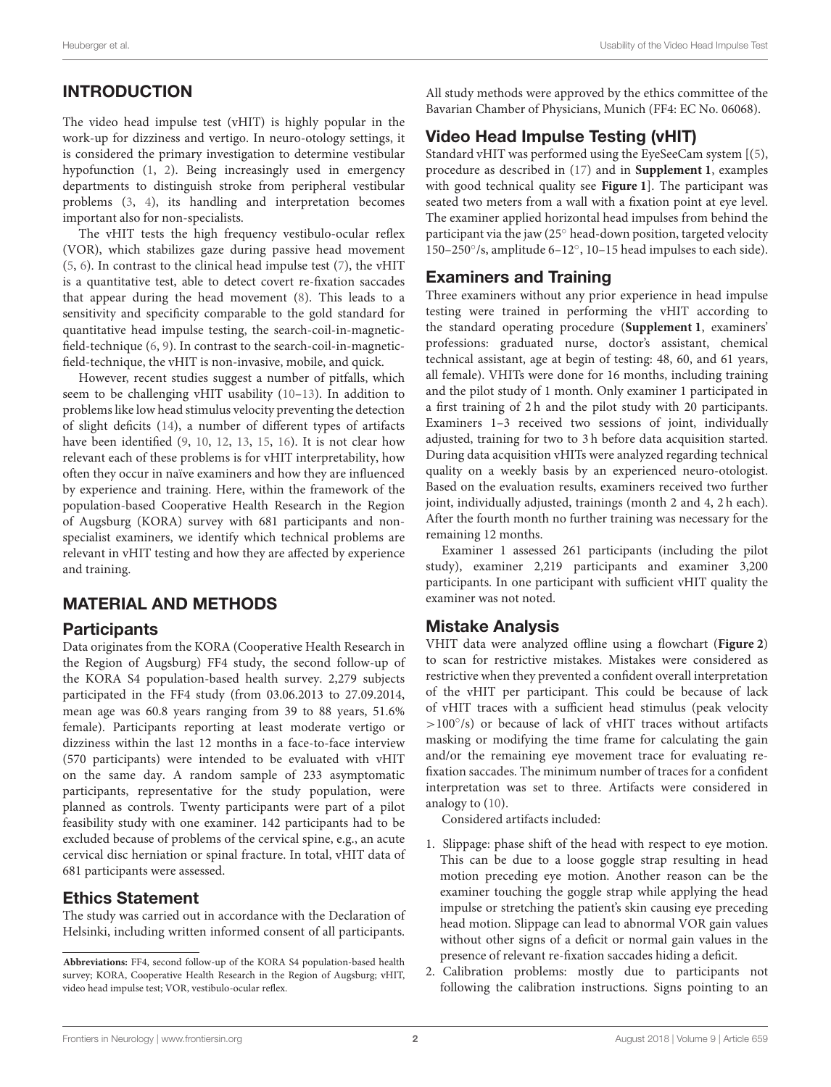# INTRODUCTION

The video head impulse test (vHIT) is highly popular in the work-up for dizziness and vertigo. In neuro-otology settings, it is considered the primary investigation to determine vestibular hypofunction [\(1,](#page-5-0) [2\)](#page-5-1). Being increasingly used in emergency departments to distinguish stroke from peripheral vestibular problems [\(3,](#page-5-2) [4\)](#page-5-3), its handling and interpretation becomes important also for non-specialists.

The vHIT tests the high frequency vestibulo-ocular reflex (VOR), which stabilizes gaze during passive head movement [\(5,](#page-5-4) [6\)](#page-5-5). In contrast to the clinical head impulse test [\(7\)](#page-5-6), the vHIT is a quantitative test, able to detect covert re-fixation saccades that appear during the head movement [\(8\)](#page-6-0). This leads to a sensitivity and specificity comparable to the gold standard for quantitative head impulse testing, the search-coil-in-magneticfield-technique [\(6,](#page-5-5) [9\)](#page-6-1). In contrast to the search-coil-in-magneticfield-technique, the vHIT is non-invasive, mobile, and quick.

However, recent studies suggest a number of pitfalls, which seem to be challenging vHIT usability [\(10](#page-6-2)[–13\)](#page-6-3). In addition to problems like low head stimulus velocity preventing the detection of slight deficits [\(14\)](#page-6-4), a number of different types of artifacts have been identified [\(9,](#page-6-1) [10,](#page-6-2) [12,](#page-6-5) [13,](#page-6-3) [15,](#page-6-6) [16\)](#page-6-7). It is not clear how relevant each of these problems is for vHIT interpretability, how often they occur in naïve examiners and how they are influenced by experience and training. Here, within the framework of the population-based Cooperative Health Research in the Region of Augsburg (KORA) survey with 681 participants and nonspecialist examiners, we identify which technical problems are relevant in vHIT testing and how they are affected by experience and training.

# MATERIAL AND METHODS

## **Participants**

Data originates from the KORA (Cooperative Health Research in the Region of Augsburg) FF4 study, the second follow-up of the KORA S4 population-based health survey. 2,279 subjects participated in the FF4 study (from 03.06.2013 to 27.09.2014, mean age was 60.8 years ranging from 39 to 88 years, 51.6% female). Participants reporting at least moderate vertigo or dizziness within the last 12 months in a face-to-face interview (570 participants) were intended to be evaluated with vHIT on the same day. A random sample of 233 asymptomatic participants, representative for the study population, were planned as controls. Twenty participants were part of a pilot feasibility study with one examiner. 142 participants had to be excluded because of problems of the cervical spine, e.g., an acute cervical disc herniation or spinal fracture. In total, vHIT data of 681 participants were assessed.

## Ethics Statement

The study was carried out in accordance with the Declaration of Helsinki, including written informed consent of all participants. All study methods were approved by the ethics committee of the Bavarian Chamber of Physicians, Munich (FF4: EC No. 06068).

# Video Head Impulse Testing (vHIT)

Standard vHIT was performed using the EyeSeeCam system [[\(5\)](#page-5-4), procedure as described in [\(17\)](#page-6-8) and in **[Supplement 1](#page-5-7)**, examples with good technical quality see **[Figure 1](#page-2-0)**]. The participant was seated two meters from a wall with a fixation point at eye level. The examiner applied horizontal head impulses from behind the participant via the jaw (25◦ head-down position, targeted velocity 150–250◦ /s, amplitude 6–12◦ , 10–15 head impulses to each side).

## Examiners and Training

Three examiners without any prior experience in head impulse testing were trained in performing the vHIT according to the standard operating procedure (**[Supplement 1](#page-5-7)**, examiners' professions: graduated nurse, doctor's assistant, chemical technical assistant, age at begin of testing: 48, 60, and 61 years, all female). VHITs were done for 16 months, including training and the pilot study of 1 month. Only examiner 1 participated in a first training of 2 h and the pilot study with 20 participants. Examiners 1–3 received two sessions of joint, individually adjusted, training for two to 3 h before data acquisition started. During data acquisition vHITs were analyzed regarding technical quality on a weekly basis by an experienced neuro-otologist. Based on the evaluation results, examiners received two further joint, individually adjusted, trainings (month 2 and 4, 2 h each). After the fourth month no further training was necessary for the remaining 12 months.

Examiner 1 assessed 261 participants (including the pilot study), examiner 2,219 participants and examiner 3,200 participants. In one participant with sufficient vHIT quality the examiner was not noted.

# Mistake Analysis

VHIT data were analyzed offline using a flowchart (**[Figure 2](#page-2-1)**) to scan for restrictive mistakes. Mistakes were considered as restrictive when they prevented a confident overall interpretation of the vHIT per participant. This could be because of lack of vHIT traces with a sufficient head stimulus (peak velocity >100°/s) or because of lack of vHIT traces without artifacts masking or modifying the time frame for calculating the gain and/or the remaining eye movement trace for evaluating refixation saccades. The minimum number of traces for a confident interpretation was set to three. Artifacts were considered in analogy to [\(10\)](#page-6-2).

Considered artifacts included:

- 1. Slippage: phase shift of the head with respect to eye motion. This can be due to a loose goggle strap resulting in head motion preceding eye motion. Another reason can be the examiner touching the goggle strap while applying the head impulse or stretching the patient's skin causing eye preceding head motion. Slippage can lead to abnormal VOR gain values without other signs of a deficit or normal gain values in the presence of relevant re-fixation saccades hiding a deficit.
- 2. Calibration problems: mostly due to participants not following the calibration instructions. Signs pointing to an

**Abbreviations:** FF4, second follow-up of the KORA S4 population-based health survey; KORA, Cooperative Health Research in the Region of Augsburg; vHIT, video head impulse test; VOR, vestibulo-ocular reflex.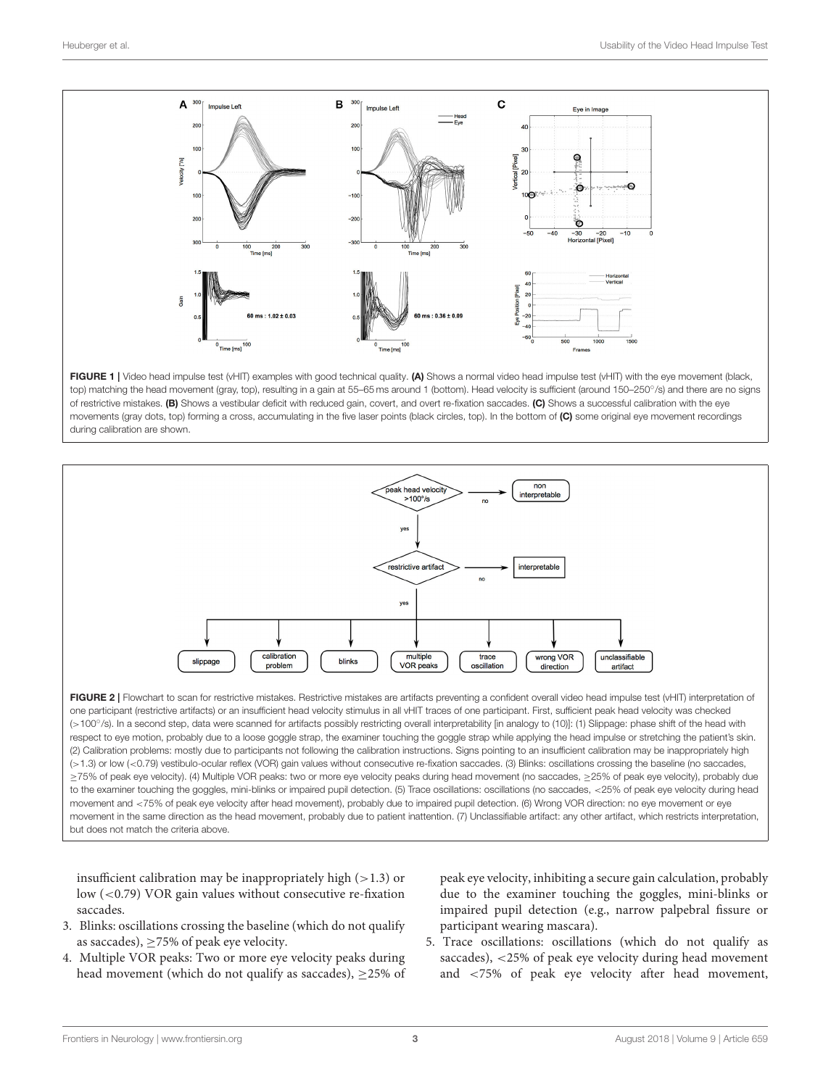

<span id="page-2-0"></span>FIGURE 1 | Video head impulse test (vHIT) examples with good technical quality. (A) Shows a normal video head impulse test (vHIT) with the eye movement (black, top) matching the head movement (gray, top), resulting in a gain at 55–65 ms around 1 (bottom). Head velocity is sufficient (around 150–250°/s) and there are no signs of restrictive mistakes. (B) Shows a vestibular deficit with reduced gain, covert, and overt re-fixation saccades. (C) Shows a successful calibration with the eye movements (gray dots, top) forming a cross, accumulating in the five laser points (black circles, top). In the bottom of (C) some original eye movement recordings during calibration are shown.



<span id="page-2-1"></span>FIGURE 2 | Flowchart to scan for restrictive mistakes. Restrictive mistakes are artifacts preventing a confident overall video head impulse test (vHIT) interpretation of one participant (restrictive artifacts) or an insufficient head velocity stimulus in all vHIT traces of one participant. First, sufficient peak head velocity was checked (>100◦ /s). In a second step, data were scanned for artifacts possibly restricting overall interpretability [in analogy to (10)]: (1) Slippage: phase shift of the head with respect to eye motion, probably due to a loose goggle strap, the examiner touching the goggle strap while applying the head impulse or stretching the patient's skin. (2) Calibration problems: mostly due to participants not following the calibration instructions. Signs pointing to an insufficient calibration may be inappropriately high (>1.3) or low (<0.79) vestibulo-ocular reflex (VOR) gain values without consecutive re-fixation saccades. (3) Blinks: oscillations crossing the baseline (no saccades, ≥75% of peak eye velocity). (4) Multiple VOR peaks: two or more eye velocity peaks during head movement (no saccades, ≥25% of peak eye velocity), probably due to the examiner touching the goggles, mini-blinks or impaired pupil detection. (5) Trace oscillations: oscillations (no saccades, <25% of peak eye velocity during head movement and <75% of peak eye velocity after head movement), probably due to impaired pupil detection. (6) Wrong VOR direction: no eye movement or eye movement in the same direction as the head movement, probably due to patient inattention. (7) Unclassifiable artifact: any other artifact, which restricts interpretation, but does not match the criteria above.

insufficient calibration may be inappropriately high  $(>1.3)$  or low (<0.79) VOR gain values without consecutive re-fixation saccades.

- 3. Blinks: oscillations crossing the baseline (which do not qualify as saccades),  $\geq$  75% of peak eye velocity.
- 4. Multiple VOR peaks: Two or more eye velocity peaks during head movement (which do not qualify as saccades), ≥25% of

peak eye velocity, inhibiting a secure gain calculation, probably due to the examiner touching the goggles, mini-blinks or impaired pupil detection (e.g., narrow palpebral fissure or participant wearing mascara).

5. Trace oscillations: oscillations (which do not qualify as saccades), <25% of peak eye velocity during head movement and <75% of peak eye velocity after head movement,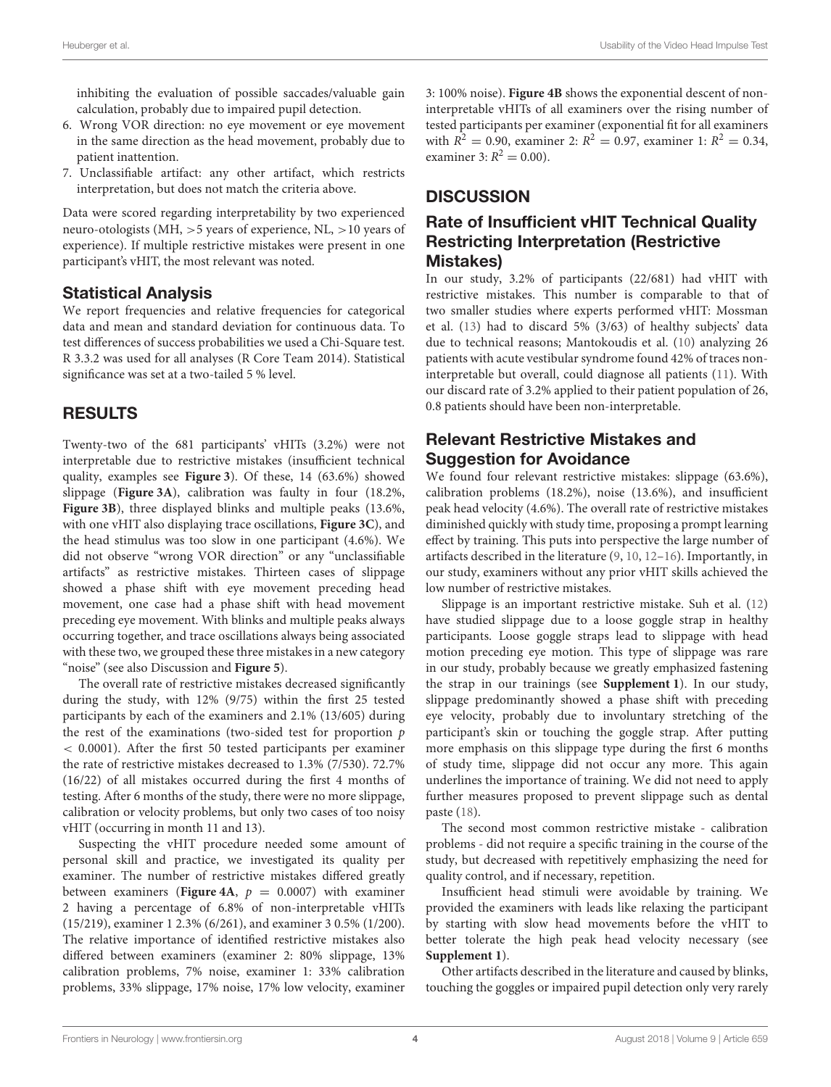inhibiting the evaluation of possible saccades/valuable gain calculation, probably due to impaired pupil detection.

- 6. Wrong VOR direction: no eye movement or eye movement in the same direction as the head movement, probably due to patient inattention.
- 7. Unclassifiable artifact: any other artifact, which restricts interpretation, but does not match the criteria above.

Data were scored regarding interpretability by two experienced neuro-otologists (MH, >5 years of experience, NL, >10 years of experience). If multiple restrictive mistakes were present in one participant's vHIT, the most relevant was noted.

#### Statistical Analysis

We report frequencies and relative frequencies for categorical data and mean and standard deviation for continuous data. To test differences of success probabilities we used a Chi-Square test. R 3.3.2 was used for all analyses (R Core Team 2014). Statistical significance was set at a two-tailed 5 % level.

## RESULTS

Twenty-two of the 681 participants' vHITs (3.2%) were not interpretable due to restrictive mistakes (insufficient technical quality, examples see **[Figure 3](#page-4-0)**). Of these, 14 (63.6%) showed slippage (**[Figure 3A](#page-4-0)**), calibration was faulty in four (18.2%, **[Figure 3B](#page-4-0)**), three displayed blinks and multiple peaks (13.6%, with one vHIT also displaying trace oscillations, **[Figure 3C](#page-4-0)**), and the head stimulus was too slow in one participant (4.6%). We did not observe "wrong VOR direction" or any "unclassifiable artifacts" as restrictive mistakes. Thirteen cases of slippage showed a phase shift with eye movement preceding head movement, one case had a phase shift with head movement preceding eye movement. With blinks and multiple peaks always occurring together, and trace oscillations always being associated with these two, we grouped these three mistakes in a new category "noise" (see also Discussion and **[Figure 5](#page-5-8)**).

The overall rate of restrictive mistakes decreased significantly during the study, with 12% (9/75) within the first 25 tested participants by each of the examiners and 2.1% (13/605) during the rest of the examinations (two-sided test for proportion  $p$ ) < 0.0001). After the first 50 tested participants per examiner the rate of restrictive mistakes decreased to 1.3% (7/530). 72.7% (16/22) of all mistakes occurred during the first 4 months of testing. After 6 months of the study, there were no more slippage, calibration or velocity problems, but only two cases of too noisy vHIT (occurring in month 11 and 13).

Suspecting the vHIT procedure needed some amount of personal skill and practice, we investigated its quality per examiner. The number of restrictive mistakes differed greatly between examiners (**[Figure 4A](#page-4-1)**,  $p = 0.0007$ ) with examiner 2 having a percentage of 6.8% of non-interpretable vHITs (15/219), examiner 1 2.3% (6/261), and examiner 3 0.5% (1/200). The relative importance of identified restrictive mistakes also differed between examiners (examiner 2: 80% slippage, 13% calibration problems, 7% noise, examiner 1: 33% calibration problems, 33% slippage, 17% noise, 17% low velocity, examiner 3: 100% noise). **[Figure 4B](#page-4-1)** shows the exponential descent of noninterpretable vHITs of all examiners over the rising number of tested participants per examiner (exponential fit for all examiners with  $R^2 = 0.90$ , examiner 2:  $R^2 = 0.97$ , examiner 1:  $R^2 = 0.34$ , examiner 3:  $R^2 = 0.00$ ).

# **DISCUSSION**

# Rate of Insufficient vHIT Technical Quality Restricting Interpretation (Restrictive Mistakes)

In our study, 3.2% of participants (22/681) had vHIT with restrictive mistakes. This number is comparable to that of two smaller studies where experts performed vHIT: Mossman et al. [\(13\)](#page-6-3) had to discard 5% (3/63) of healthy subjects' data due to technical reasons; Mantokoudis et al. [\(10\)](#page-6-2) analyzing 26 patients with acute vestibular syndrome found 42% of traces noninterpretable but overall, could diagnose all patients [\(11\)](#page-6-9). With our discard rate of 3.2% applied to their patient population of 26, 0.8 patients should have been non-interpretable.

# Relevant Restrictive Mistakes and Suggestion for Avoidance

We found four relevant restrictive mistakes: slippage (63.6%), calibration problems (18.2%), noise (13.6%), and insufficient peak head velocity (4.6%). The overall rate of restrictive mistakes diminished quickly with study time, proposing a prompt learning effect by training. This puts into perspective the large number of artifacts described in the literature [\(9,](#page-6-1) [10,](#page-6-2) [12–](#page-6-5)[16\)](#page-6-7). Importantly, in our study, examiners without any prior vHIT skills achieved the low number of restrictive mistakes.

Slippage is an important restrictive mistake. Suh et al. [\(12\)](#page-6-5) have studied slippage due to a loose goggle strap in healthy participants. Loose goggle straps lead to slippage with head motion preceding eye motion. This type of slippage was rare in our study, probably because we greatly emphasized fastening the strap in our trainings (see **[Supplement 1](#page-5-7)**). In our study, slippage predominantly showed a phase shift with preceding eye velocity, probably due to involuntary stretching of the participant's skin or touching the goggle strap. After putting more emphasis on this slippage type during the first 6 months of study time, slippage did not occur any more. This again underlines the importance of training. We did not need to apply further measures proposed to prevent slippage such as dental paste [\(18\)](#page-6-10).

The second most common restrictive mistake - calibration problems - did not require a specific training in the course of the study, but decreased with repetitively emphasizing the need for quality control, and if necessary, repetition.

Insufficient head stimuli were avoidable by training. We provided the examiners with leads like relaxing the participant by starting with slow head movements before the vHIT to better tolerate the high peak head velocity necessary (see **[Supplement 1](#page-5-7)**).

Other artifacts described in the literature and caused by blinks, touching the goggles or impaired pupil detection only very rarely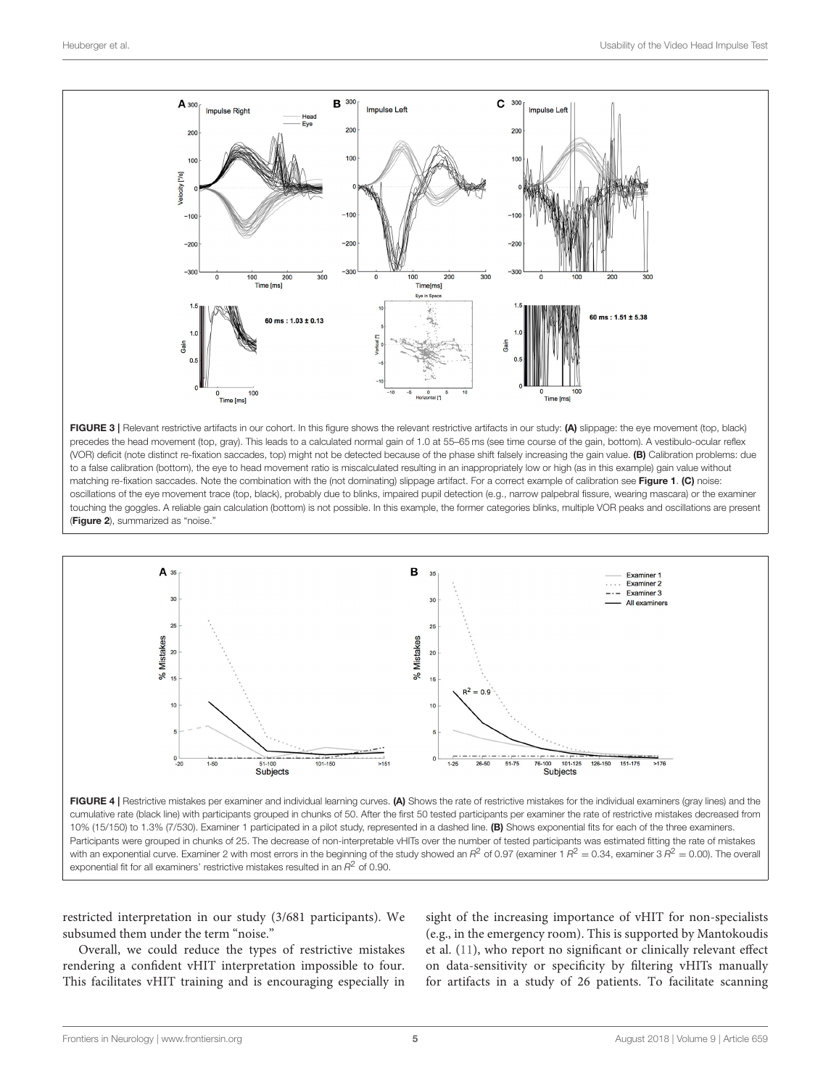

<span id="page-4-0"></span>FIGURE 3 | Relevant restrictive artifacts in our cohort. In this figure shows the relevant restrictive artifacts in our study: (A) slippage: the eye movement (top, black) precedes the head movement (top, gray). This leads to a calculated normal gain of 1.0 at 55–65 ms (see time course of the gain, bottom). A vestibulo-ocular reflex (VOR) deficit (note distinct re-fixation saccades, top) might not be detected because of the phase shift falsely increasing the gain value. (B) Calibration problems: due to a false calibration (bottom), the eye to head movement ratio is miscalculated resulting in an inappropriately low or high (as in this example) gain value without matching re-fixation saccades. Note the combination with the (not dominating) slippage artifact. For a correct example of calibration see [Figure 1](#page-2-0). (C) noise: oscillations of the eye movement trace (top, black), probably due to blinks, impaired pupil detection (e.g., narrow palpebral fissure, wearing mascara) or the examiner touching the goggles. A reliable gain calculation (bottom) is not possible. In this example, the former categories blinks, multiple VOR peaks and oscillations are present ([Figure 2](#page-2-1)), summarized as "noise."



<span id="page-4-1"></span>FIGURE 4 | Restrictive mistakes per examiner and individual learning curves. (A) Shows the rate of restrictive mistakes for the individual examiners (gray lines) and the cumulative rate (black line) with participants grouped in chunks of 50. After the first 50 tested participants per examiner the rate of restrictive mistakes decreased from 10% (15/150) to 1.3% (7/530). Examiner 1 participated in a pilot study, represented in a dashed line. (B) Shows exponential fits for each of the three examiners. Participants were grouped in chunks of 25. The decrease of non-interpretable vHITs over the number of tested participants was estimated fitting the rate of mistakes with an exponential curve. Examiner 2 with most errors in the beginning of the study showed an  $R^2$  of 0.97 (examiner 1  $R^2 =$  0.34, examiner 3  $R^2 =$  0.00). The overall exponential fit for all examiners' restrictive mistakes resulted in an  $R^2$  of 0.90.

restricted interpretation in our study (3/681 participants). We subsumed them under the term "noise."

Overall, we could reduce the types of restrictive mistakes rendering a confident vHIT interpretation impossible to four. This facilitates vHIT training and is encouraging especially in sight of the increasing importance of vHIT for non-specialists (e.g., in the emergency room). This is supported by Mantokoudis et al. [\(11\)](#page-6-9), who report no significant or clinically relevant effect on data-sensitivity or specificity by filtering vHITs manually for artifacts in a study of 26 patients. To facilitate scanning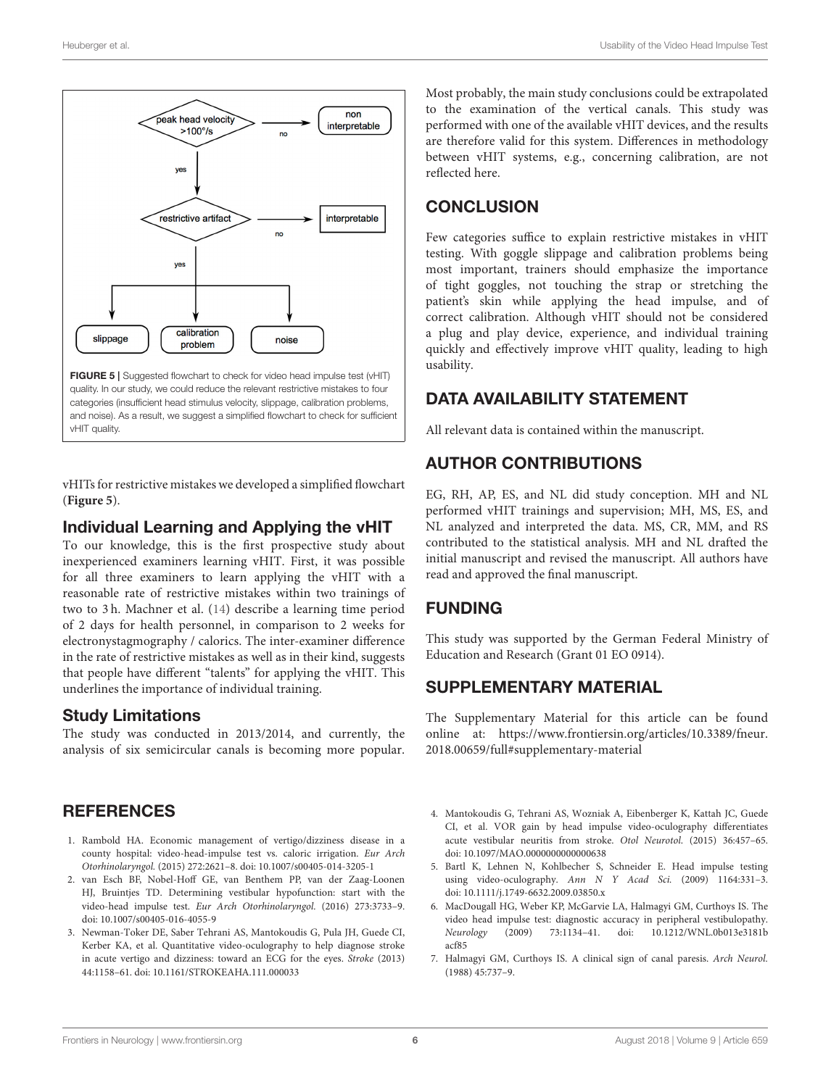

<span id="page-5-8"></span>quality. In our study, we could reduce the relevant restrictive mistakes to four categories (insufficient head stimulus velocity, slippage, calibration problems, and noise). As a result, we suggest a simplified flowchart to check for sufficient vHIT quality.

vHITs for restrictive mistakes we developed a simplified flowchart (**[Figure 5](#page-5-8)**).

#### Individual Learning and Applying the vHIT

To our knowledge, this is the first prospective study about inexperienced examiners learning vHIT. First, it was possible for all three examiners to learn applying the vHIT with a reasonable rate of restrictive mistakes within two trainings of two to 3 h. Machner et al. [\(14\)](#page-6-4) describe a learning time period of 2 days for health personnel, in comparison to 2 weeks for electronystagmography / calorics. The inter-examiner difference in the rate of restrictive mistakes as well as in their kind, suggests that people have different "talents" for applying the vHIT. This underlines the importance of individual training.

## Study Limitations

The study was conducted in 2013/2014, and currently, the analysis of six semicircular canals is becoming more popular.

## **REFERENCES**

- <span id="page-5-0"></span>1. Rambold HA. Economic management of vertigo/dizziness disease in a county hospital: video-head-impulse test vs. caloric irrigation. Eur Arch Otorhinolaryngol. (2015) 272:2621–8. doi: [10.1007/s00405-014-3205-1](https://doi.org/10.1007/s00405-014-3205-1)
- <span id="page-5-1"></span>2. van Esch BF, Nobel-Hoff GE, van Benthem PP, van der Zaag-Loonen HJ, Bruintjes TD. Determining vestibular hypofunction: start with the video-head impulse test. Eur Arch Otorhinolaryngol. (2016) 273:3733–9. doi: [10.1007/s00405-016-4055-9](https://doi.org/10.1007/s00405-016-4055-9)
- <span id="page-5-2"></span>3. Newman-Toker DE, Saber Tehrani AS, Mantokoudis G, Pula JH, Guede CI, Kerber KA, et al. Quantitative video-oculography to help diagnose stroke in acute vertigo and dizziness: toward an ECG for the eyes. Stroke (2013) 44:1158–61. doi: [10.1161/STROKEAHA.111.000033](https://doi.org/10.1161/STROKEAHA.111.000033)

Most probably, the main study conclusions could be extrapolated to the examination of the vertical canals. This study was performed with one of the available vHIT devices, and the results are therefore valid for this system. Differences in methodology between vHIT systems, e.g., concerning calibration, are not reflected here.

# **CONCLUSION**

Few categories suffice to explain restrictive mistakes in vHIT testing. With goggle slippage and calibration problems being most important, trainers should emphasize the importance of tight goggles, not touching the strap or stretching the patient's skin while applying the head impulse, and of correct calibration. Although vHIT should not be considered a plug and play device, experience, and individual training quickly and effectively improve vHIT quality, leading to high usability.

# DATA AVAILABILITY STATEMENT

All relevant data is contained within the manuscript.

# AUTHOR CONTRIBUTIONS

EG, RH, AP, ES, and NL did study conception. MH and NL performed vHIT trainings and supervision; MH, MS, ES, and NL analyzed and interpreted the data. MS, CR, MM, and RS contributed to the statistical analysis. MH and NL drafted the initial manuscript and revised the manuscript. All authors have read and approved the final manuscript.

# FUNDING

This study was supported by the German Federal Ministry of Education and Research (Grant 01 EO 0914).

# SUPPLEMENTARY MATERIAL

<span id="page-5-7"></span>The Supplementary Material for this article can be found [online at: https://www.frontiersin.org/articles/10.3389/fneur.](https://www.frontiersin.org/articles/10.3389/fneur.2018.00659/full#supplementary-material) 2018.00659/full#supplementary-material

- <span id="page-5-3"></span>4. Mantokoudis G, Tehrani AS, Wozniak A, Eibenberger K, Kattah JC, Guede CI, et al. VOR gain by head impulse video-oculography differentiates acute vestibular neuritis from stroke. Otol Neurotol. (2015) 36:457–65. doi: [10.1097/MAO.0000000000000638](https://doi.org/10.1097/MAO.0000000000000638)
- <span id="page-5-4"></span>5. Bartl K, Lehnen N, Kohlbecher S, Schneider E. Head impulse testing using video-oculography. Ann N Y Acad Sci. (2009) 1164:331–3. doi: [10.1111/j.1749-6632.2009.03850.x](https://doi.org/10.1111/j.1749-6632.2009.03850.x)
- <span id="page-5-5"></span>6. MacDougall HG, Weber KP, McGarvie LA, Halmagyi GM, Curthoys IS. The video head impulse test: diagnostic accuracy in peripheral vestibulopathy.<br> *Neurology* (2009) 73:1134-41. doi: 10.1212/WNL.0b013e3181b Neurology (2009) 73:1134-41. doi: acf85
- <span id="page-5-6"></span>7. Halmagyi GM, Curthoys IS. A clinical sign of canal paresis. Arch Neurol. (1988) 45:737–9.